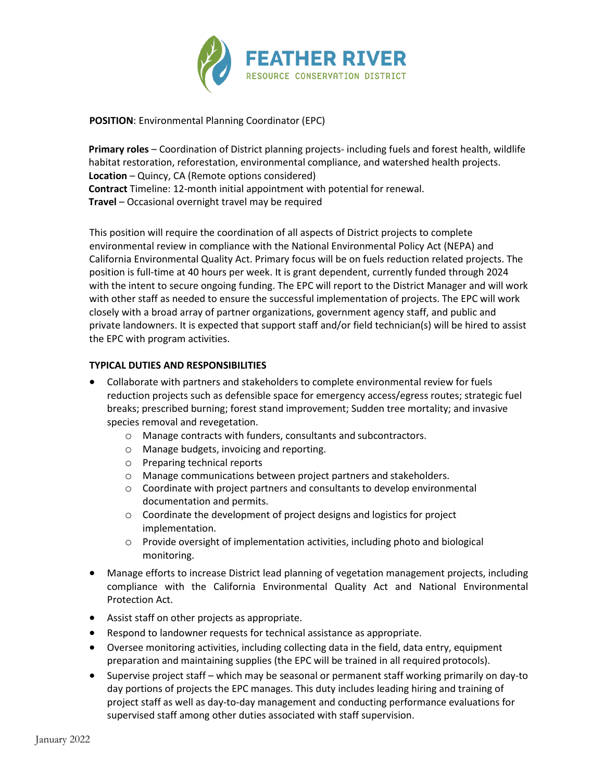

**POSITION**: Environmental Planning Coordinator (EPC)

**Primary roles** – Coordination of District planning projects- including fuels and forest health, wildlife habitat restoration, reforestation, environmental compliance, and watershed health projects. **Location** – Quincy, CA (Remote options considered) **Contract** Timeline: 12-month initial appointment with potential for renewal. **Travel** – Occasional overnight travel may be required

This position will require the coordination of all aspects of District projects to complete environmental review in compliance with the National Environmental Policy Act (NEPA) and California Environmental Quality Act. Primary focus will be on fuels reduction related projects. The position is full-time at 40 hours per week. It is grant dependent, currently funded through 2024 with the intent to secure ongoing funding. The EPC will report to the District Manager and will work with other staff as needed to ensure the successful implementation of projects. The EPC will work closely with a broad array of partner organizations, government agency staff, and public and private landowners. It is expected that support staff and/or field technician(s) will be hired to assist the EPC with program activities.

# **TYPICAL DUTIES AND RESPONSIBILITIES**

- Collaborate with partners and stakeholders to complete environmental review for fuels reduction projects such as defensible space for emergency access/egress routes; strategic fuel breaks; prescribed burning; forest stand improvement; Sudden tree mortality; and invasive species removal and revegetation.
	- o Manage contracts with funders, consultants and subcontractors.
	- o Manage budgets, invoicing and reporting.
	- o Preparing technical reports
	- o Manage communications between project partners and stakeholders.
	- o Coordinate with project partners and consultants to develop environmental documentation and permits.
	- o Coordinate the development of project designs and logistics for project implementation.
	- o Provide oversight of implementation activities, including photo and biological monitoring.
- Manage efforts to increase District lead planning of vegetation management projects, including compliance with the California Environmental Quality Act and National Environmental Protection Act.
- Assist staff on other projects as appropriate.
- Respond to landowner requests for technical assistance as appropriate.
- Oversee monitoring activities, including collecting data in the field, data entry, equipment preparation and maintaining supplies (the EPC will be trained in all required protocols).
- Supervise project staff which may be seasonal or permanent staff working primarily on day-to day portions of projects the EPC manages. This duty includes leading hiring and training of project staff as well as day-to-day management and conducting performance evaluations for supervised staff among other duties associated with staff supervision.